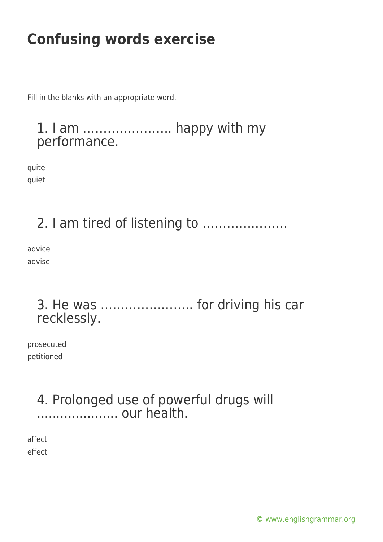Fill in the blanks with an appropriate word.

#### 1. I am …………………. happy with my performance.

quite quiet

2. I am tired of listening to …………………

advice advise

#### 3. He was ………………….. for driving his car recklessly.

prosecuted petitioned

#### 4. Prolonged use of powerful drugs will .......................... our health.

affect effect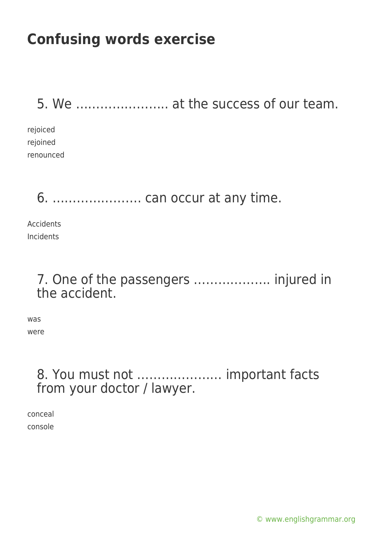5. We ………………….. at the success of our team.

rejoiced rejoined renounced

### 6. …………………. can occur at any time.

Accidents Incidents

#### 7. One of the passengers ………………. injured in the accident.

was were

#### 8. You must not ………………… important facts from your doctor / lawyer.

conceal console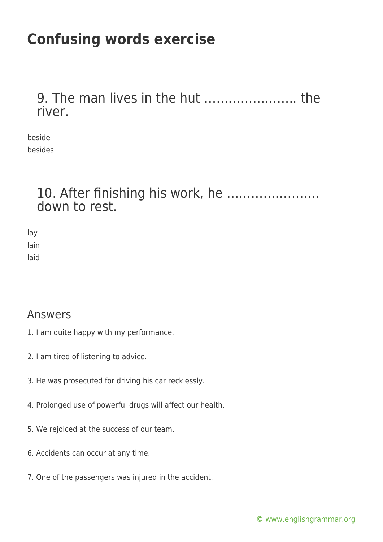9. The man lives in the hut ………………….. the river.

beside besides

#### 10. After finishing his work, he ………………….. down to rest.

lay lain laid

#### Answers

- 1. I am quite happy with my performance.
- 2. I am tired of listening to advice.
- 3. He was prosecuted for driving his car recklessly.
- 4. Prolonged use of powerful drugs will affect our health.
- 5. We rejoiced at the success of our team.
- 6. Accidents can occur at any time.
- 7. One of the passengers was injured in the accident.